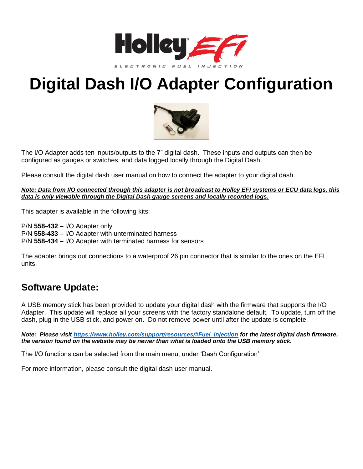

# **Digital Dash I/O Adapter Configuration**



The I/O Adapter adds ten inputs/outputs to the 7" digital dash. These inputs and outputs can then be configured as gauges or switches, and data logged locally through the Digital Dash.

Please consult the digital dash user manual on how to connect the adapter to your digital dash.

*Note: Data from I/O connected through this adapter is not broadcast to Holley EFI systems or ECU data logs, this data is only viewable through the Digital Dash gauge screens and locally recorded logs.*

This adapter is available in the following kits:

P/N **558-432** – I/O Adapter only P/N **558-433** – I/O Adapter with unterminated harness P/N **558-434** – I/O Adapter with terminated harness for sensors

The adapter brings out connections to a waterproof 26 pin connector that is similar to the ones on the EFI units.

#### **Software Update:**

A USB memory stick has been provided to update your digital dash with the firmware that supports the I/O Adapter. This update will replace all your screens with the factory standalone default. To update, turn off the dash, plug in the USB stick, and power on. Do not remove power until after the update is complete.

*Note: Please visit [https://www.holley.com/support/resources/#Fuel\\_Injection](https://www.holley.com/support/resources/%23Fuel_Injection) for the latest digital dash firmware, the version found on the website may be newer than what is loaded onto the USB memory stick.*

The I/O functions can be selected from the main menu, under 'Dash Configuration'

For more information, please consult the digital dash user manual.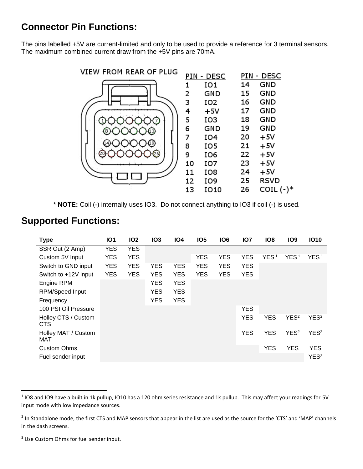# **Connector Pin Functions:**

The pins labelled +5V are current-limited and only to be used to provide a reference for 3 terminal sensors. The maximum combined current draw from the +5V pins are 70mA.



\* **NOTE:** Coil (-) internally uses IO3. Do not connect anything to IO3 if coil (-) is used.

#### **Supported Functions:**

| <b>Type</b>                       | <b>IO1</b> | IO <sub>2</sub> | IO <sub>3</sub> | <b>IO4</b> | IO <sub>5</sub> | IO <sub>6</sub> | IO <sub>7</sub> | IO <sub>8</sub>  | <b>IO9</b>       | <b>IO10</b>      |
|-----------------------------------|------------|-----------------|-----------------|------------|-----------------|-----------------|-----------------|------------------|------------------|------------------|
| SSR Out (2 Amp)                   | <b>YES</b> | <b>YES</b>      |                 |            |                 |                 |                 |                  |                  |                  |
| Custom 5V Input                   | <b>YES</b> | <b>YES</b>      |                 |            | <b>YES</b>      | <b>YES</b>      | <b>YES</b>      | YES <sup>1</sup> | YES <sup>1</sup> | YES <sup>1</sup> |
| Switch to GND input               | <b>YES</b> | <b>YES</b>      | <b>YES</b>      | <b>YES</b> | <b>YES</b>      | <b>YES</b>      | <b>YES</b>      |                  |                  |                  |
| Switch to +12V input              | <b>YES</b> | <b>YES</b>      | <b>YES</b>      | <b>YES</b> | <b>YES</b>      | <b>YES</b>      | <b>YES</b>      |                  |                  |                  |
| Engine RPM                        |            |                 | <b>YES</b>      | <b>YES</b> |                 |                 |                 |                  |                  |                  |
| <b>RPM/Speed Input</b>            |            |                 | <b>YES</b>      | <b>YES</b> |                 |                 |                 |                  |                  |                  |
| Frequency                         |            |                 | <b>YES</b>      | <b>YES</b> |                 |                 |                 |                  |                  |                  |
| 100 PSI Oil Pressure              |            |                 |                 |            |                 |                 | <b>YES</b>      |                  |                  |                  |
| Holley CTS / Custom<br><b>CTS</b> |            |                 |                 |            |                 |                 | <b>YES</b>      | <b>YES</b>       | YES <sup>2</sup> | YES <sup>2</sup> |
| Holley MAT / Custom<br>MAT        |            |                 |                 |            |                 |                 | <b>YES</b>      | <b>YES</b>       | YES <sup>2</sup> | YES <sup>2</sup> |
| <b>Custom Ohms</b>                |            |                 |                 |            |                 |                 |                 | <b>YES</b>       | <b>YES</b>       | <b>YES</b>       |
| Fuel sender input                 |            |                 |                 |            |                 |                 |                 |                  |                  | YES <sup>3</sup> |

<sup>3</sup> Use Custom Ohms for fuel sender input.

 $\overline{\phantom{a}}$ 

 $^1$  IO8 and IO9 have a built in 1k pullup, IO10 has a 120 ohm series resistance and 1k pullup. This may affect your readings for 5V input mode with low impedance sources.

 $^2$  In Standalone mode, the first CTS and MAP sensors that appear in the list are used as the source for the 'CTS' and 'MAP' channels in the dash screens.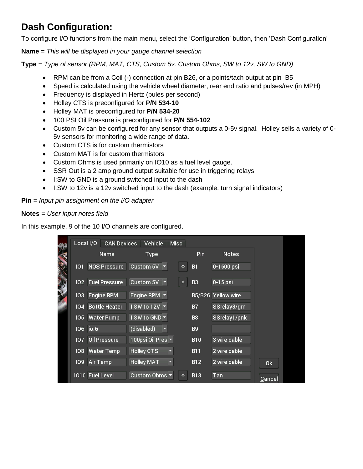# **Dash Configuration:**

To configure I/O functions from the main menu, select the 'Configuration' button, then 'Dash Configuration'

**Name** = *This will be displayed in your gauge channel selection*

**Type** = *Type of sensor (RPM, MAT, CTS, Custom 5v, Custom Ohms, SW to 12v, SW to GND)*

- RPM can be from a Coil (-) connection at pin B26, or a points/tach output at pin B5
- Speed is calculated using the vehicle wheel diameter, rear end ratio and pulses/rev (in MPH)
- Frequency is displayed in Hertz (pules per second)
- Holley CTS is preconfigured for **P/N 534-10**
- Holley MAT is preconfigured for **P/N 534-20**
- 100 PSI Oil Pressure is preconfigured for **P/N 554-102**
- Custom 5v can be configured for any sensor that outputs a 0-5v signal. Holley sells a variety of 0- 5v sensors for monitoring a wide range of data.
- Custom CTS is for custom thermistors
- Custom MAT is for custom thermistors
- Custom Ohms is used primarily on IO10 as a fuel level gauge.
- SSR Out is a 2 amp ground output suitable for use in triggering relays
- I:SW to GND is a ground switched input to the dash
- I:SW to 12v is a 12v switched input to the dash (example: turn signal indicators)

#### **Pin** = *Input pin assignment on the I/O adapter*

#### **Notes** = *User input notes field*

In this example, 9 of the 10 I/O channels are configured.

| 光             | Local I/O        |          | <b>CAN Devices</b>   |                                   | Vehicle                            | <b>Misc</b> |   |                |                    |        |
|---------------|------------------|----------|----------------------|-----------------------------------|------------------------------------|-------------|---|----------------|--------------------|--------|
|               |                  |          | Name                 |                                   | Type                               |             |   | Pin            | <b>Notes</b>       |        |
|               | 101              |          | <b>NOS Pressure</b>  |                                   | Custom 5V $\vert \mathbf{v} \vert$ |             | ۰ | <b>B1</b>      | 0-1600 psi         |        |
|               | 102 <sub>2</sub> |          | <b>Fuel Pressure</b> |                                   | Custom 5V $\vert \mathbf{v} \vert$ |             | ۰ | B <sub>3</sub> | $0-15$ psi         |        |
|               |                  |          |                      |                                   |                                    |             |   |                |                    |        |
| <b>SALLER</b> | 103              |          | <b>Engine RPM</b>    |                                   | Engine RPM $\blacktriangleright$   |             |   |                | B5/B26 Yellow wire |        |
|               | 104              |          | <b>Bottle Heater</b> | I:SW to 12V $\blacktriangleright$ |                                    |             |   | B7             | SSrelay3/grn       |        |
|               | 105              |          | <b>Water Pump</b>    | I:SW to GND $\blacktriangledown$  |                                    |             |   | B8             | SSrelay1/pnk       |        |
|               | 106 io.6         |          |                      | (disabled)                        |                                    |             |   | <b>B9</b>      |                    |        |
|               | 107              |          | <b>Oil Pressure</b>  | 100psi Oil Pres                   |                                    |             |   | <b>B10</b>     | 3 wire cable       |        |
|               | 108              |          | <b>Water Temp</b>    | <b>Holley CTS</b>                 |                                    |             |   | <b>B11</b>     | 2 wire cable       |        |
|               | 109              | Air Temp |                      | <b>Holley MAT</b>                 |                                    |             |   | <b>B12</b>     | 2 wire cable       | Qk     |
|               |                  |          | 1010 Fuel Level      |                                   | Custom Ohms $\blacktriangleright$  |             | ۰ | <b>B13</b>     | Tan                | Cancel |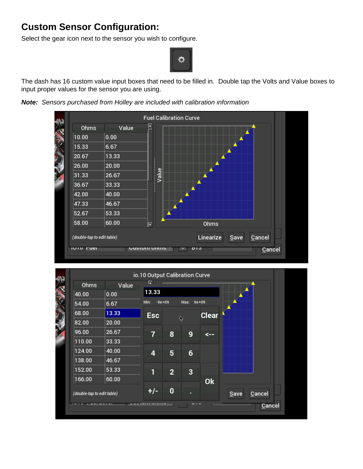# **Custom Sensor Configuration:**

Select the gear icon next to the sensor you wish to configure.



The dash has 16 custom value input boxes that need to be filled in. Double tap the Volts and Value boxes to input proper values for the sensor you are using.

*Note: Sensors purchased from Holley are included with calibration information*



|                            |       | io.10 Output Calibration Curve |                |                |              |                |
|----------------------------|-------|--------------------------------|----------------|----------------|--------------|----------------|
| Ohms                       | Value | ∡                              |                |                |              |                |
| 40.00                      | 0.00  | 13.33                          |                |                |              |                |
| 54.00                      | 6.67  | $-9e+09$<br>Min:               |                | Max:           | $9e + 09$    |                |
| 68.00                      | 13.33 | <b>Esc</b>                     |                |                | <b>Clear</b> |                |
| 82.00                      | 20.00 |                                |                | $\mathbb{Q}$   |              |                |
| 96.00                      | 26.67 | $\overline{7}$                 | 8              | 9              | <--          |                |
| 110.00                     | 33.33 |                                |                |                |              |                |
| 124.00                     | 40.00 | 4                              | 5              | $6\phantom{1}$ |              |                |
| 138.00                     | 46.67 |                                |                |                |              |                |
| 152.00                     | 53.33 | 1                              | $\overline{2}$ | $\overline{3}$ |              |                |
| 166.00                     | 60.00 |                                |                |                | <b>Ok</b>    |                |
| (double-tap to edit table) |       | $+/-$                          | 0              |                |              | Cancel<br>Save |
|                            |       |                                |                |                |              | Cancel         |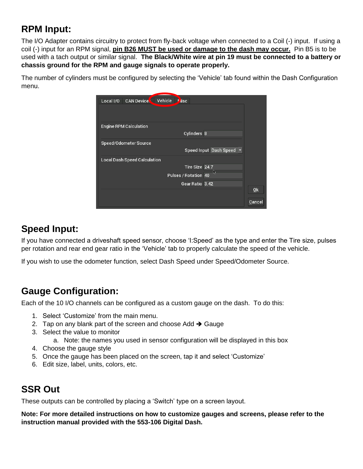# **RPM Input:**

The I/O Adapter contains circuitry to protect from fly-back voltage when connected to a Coil (-) input. If using a coil (-) input for an RPM signal, **pin B26 MUST be used or damage to the dash may occur.** Pin B5 is to be used with a tach output or similar signal. **The Black/White wire at pin 19 must be connected to a battery or chassis ground for the RPM and gauge signals to operate properly.**

The number of cylinders must be configured by selecting the 'Vehicle' tab found within the Dash Configuration menu.

| Vehicle<br><b>CAN Device</b><br>l lisc<br>Local I/O   |        |
|-------------------------------------------------------|--------|
|                                                       |        |
| <b>Engine RPM Calculation</b><br>Cylinders 8          |        |
| Speed/Odometer Source                                 |        |
| Speed Input Dash Speed ▼                              |        |
| <b>Local Dash Speed Calculation</b><br>Tire Size 24.7 |        |
| I)<br>Pulses / Rotation 40                            |        |
| Gear Ratio 3.42                                       | 0k     |
|                                                       | Cancel |

# **Speed Input:**

If you have connected a driveshaft speed sensor, choose 'I:Speed' as the type and enter the Tire size, pulses per rotation and rear end gear ratio in the 'Vehicle' tab to properly calculate the speed of the vehicle.

If you wish to use the odometer function, select Dash Speed under Speed/Odometer Source.

# **Gauge Configuration:**

Each of the 10 I/O channels can be configured as a custom gauge on the dash. To do this:

- 1. Select 'Customize' from the main menu.
- 2. Tap on any blank part of the screen and choose Add  $\rightarrow$  Gauge
- 3. Select the value to monitor
	- a. Note: the names you used in sensor configuration will be displayed in this box
- 4. Choose the gauge style
- 5. Once the gauge has been placed on the screen, tap it and select 'Customize'
- 6. Edit size, label, units, colors, etc.

# **SSR Out**

These outputs can be controlled by placing a 'Switch' type on a screen layout.

**Note: For more detailed instructions on how to customize gauges and screens, please refer to the instruction manual provided with the 553-106 Digital Dash.**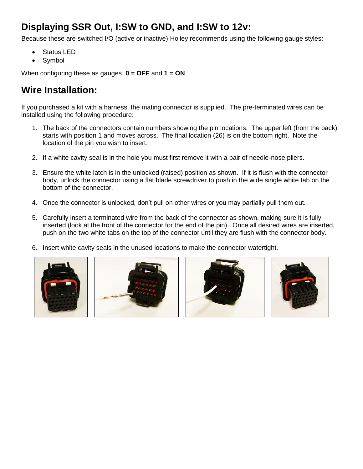# **Displaying SSR Out, I:SW to GND, and I:SW to 12v:**

Because these are switched I/O (active or inactive) Holley recommends using the following gauge styles:

- Status LED
- Symbol

When configuring these as gauges, **0 = OFF** and **1 = ON**

# **Wire Installation:**

If you purchased a kit with a harness, the mating connector is supplied. The pre-terminated wires can be installed using the following procedure:

- 1. The back of the connectors contain numbers showing the pin locations. The upper left (from the back) starts with position 1 and moves across. The final location (26) is on the bottom right. Note the location of the pin you wish to insert.
- 2. If a white cavity seal is in the hole you must first remove it with a pair of needle-nose pliers.
- 3. Ensure the white latch is in the unlocked (raised) position as shown. If it is flush with the connector body, unlock the connector using a flat blade screwdriver to push in the wide single white tab on the bottom of the connector.
- 4. Once the connector is unlocked, don't pull on other wires or you may partially pull them out.
- 5. Carefully insert a terminated wire from the back of the connector as shown, making sure it is fully inserted (look at the front of the connector for the end of the pin). Once all desired wires are inserted, push on the two white tabs on the top of the connector until they are flush with the connector body.
- 6. Insert white cavity seals in the unused locations to make the connector watertight.







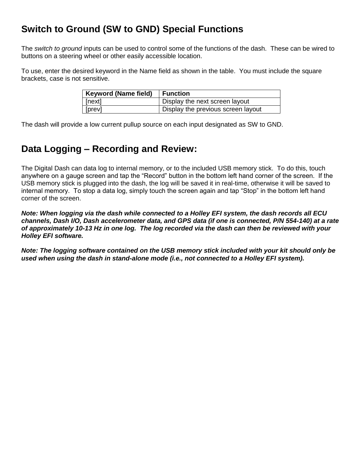# **Switch to Ground (SW to GND) Special Functions**

The *switch to ground* inputs can be used to control some of the functions of the dash. These can be wired to buttons on a steering wheel or other easily accessible location.

To use, enter the desired keyword in the Name field as shown in the table. You must include the square brackets, case is not sensitive.

| <b>Keyword (Name field)</b> | Function                           |
|-----------------------------|------------------------------------|
| $ $ [next]                  | Display the next screen layout     |
| $ $ [prev]                  | Display the previous screen layout |

The dash will provide a low current pullup source on each input designated as SW to GND.

### **Data Logging – Recording and Review:**

The Digital Dash can data log to internal memory, or to the included USB memory stick. To do this, touch anywhere on a gauge screen and tap the "Record" button in the bottom left hand corner of the screen. If the USB memory stick is plugged into the dash, the log will be saved it in real-time, otherwise it will be saved to internal memory. To stop a data log, simply touch the screen again and tap "Stop" in the bottom left hand corner of the screen.

*Note: When logging via the dash while connected to a Holley EFI system, the dash records all ECU channels, Dash I/O, Dash accelerometer data, and GPS data (if one is connected, P/N 554-140) at a rate of approximately 10-13 Hz in one log. The log recorded via the dash can then be reviewed with your Holley EFI software.*

*Note: The logging software contained on the USB memory stick included with your kit should only be used when using the dash in stand-alone mode (i.e., not connected to a Holley EFI system).*